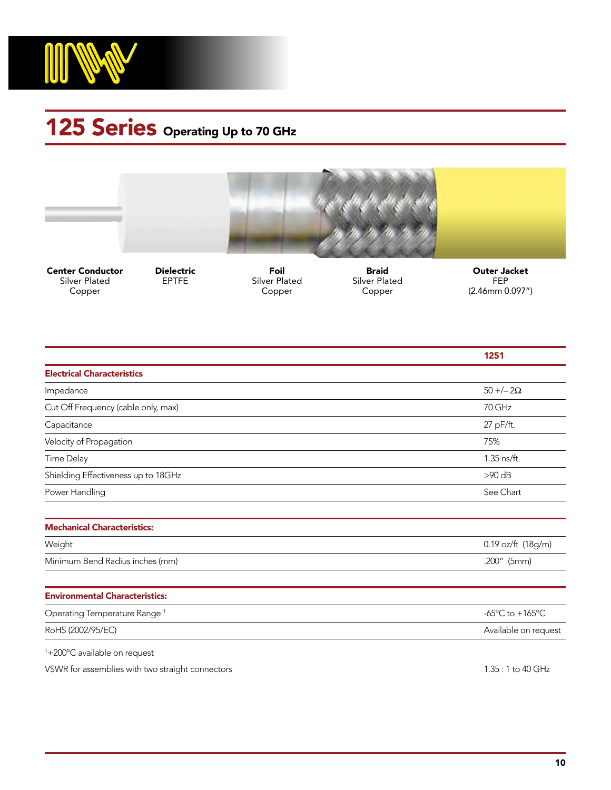

## 125 Series Operating Up to 70 GHz



Center Conductor Silver Plated Copper

Dielectric **EPTFE** 

Foil Silver Plated Copper

Braid Silver Plated Copper

Outer Jacket FEP (2.46mm 0.097")

|                                          | 1251                                                  |
|------------------------------------------|-------------------------------------------------------|
| <b>Electrical Characteristics</b>        |                                                       |
| Impedance                                | $50 + -2\Omega$                                       |
| Cut Off Frequency (cable only, max)      | 70 GHz                                                |
| Capacitance                              | 27 pF/ft.                                             |
| Velocity of Propagation                  | 75%                                                   |
| Time Delay                               | 1.35 ns/ft.                                           |
| Shielding Effectiveness up to 18GHz      | $>90$ dB                                              |
| Power Handling                           | See Chart                                             |
|                                          |                                                       |
| <b>Mechanical Characteristics:</b>       |                                                       |
| Weight                                   | 0.19 oz/ft (18g/m)                                    |
| Minimum Bend Radius inches (mm)          | .200" (5mm)                                           |
|                                          |                                                       |
| <b>Environmental Characteristics:</b>    |                                                       |
| Operating Temperature Range <sup>1</sup> | -65 $\mathrm{^{\circ}C}$ to +165 $\mathrm{^{\circ}C}$ |
| RoHS (2002/95/EC)                        | Available on request                                  |
| $1.00000 \times 111$                     |                                                       |

1 +200ºC available on request

VSWR for assemblies with two straight connectors and the straight connectors and the straight connectors of the straight connectors and the straight connectors and the straight connectors and the straight connectors and th